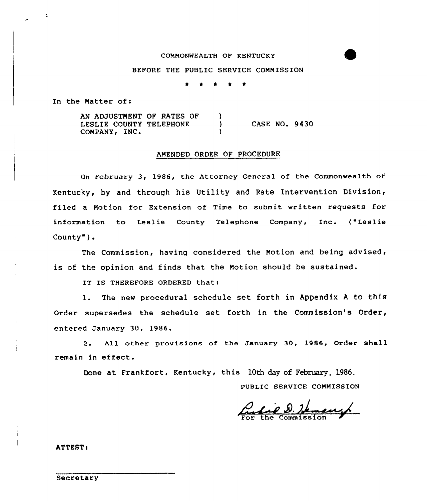## COMMONWEALTH OF KENTUCKY

## BEFORE THE PUBLIC SERVICE COMMISSION

\* <sup>4</sup> \* \*

In the Natter of:

AN ADJUSTMENT OF RATES OF )<br>LESLIE COUNTY TELEPHONE ) LESLIE COUNTY TELEPHONE COMPANY, INC. CASE NO. 9430

## AMENDED ORDER OF PROCEDURE

On February 3, 1986, the Attorney General of the Commonwealth of Kentucky, by and through his Utility and Rate Intervention Division, filed a Notion for Extension of Time to submit written requests for information to Leslie County Telephone Company, Inc. ("Leslie County").

The Commission, having considered the Motion and being advised, is of the opinion and finds that the Motion should be sustained.

IT IS THEREFORE ORDERED that:

1. The new procedural schedule set forth in Appendix <sup>A</sup> to this Order supersedes the schedule set forth in the Commission's Order, entered January 30, 1986.

<sup>2</sup> All other provisions of the January 30, 1986, Order shall remain in effect.

Done at Frankfort, Kentucky, this 10th day of February, 1986.

PUBLIC SERVICE COMMISSION

Lie D. Hemany

ATTEST:

Secretary